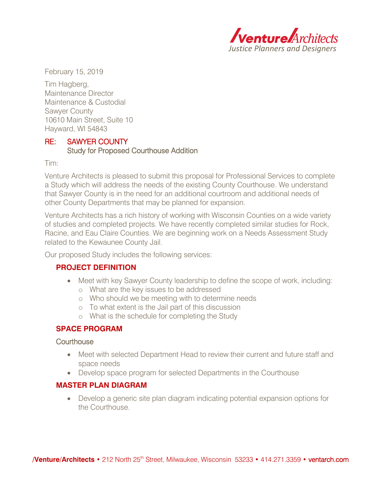

February 15, 2019

Tim Hagberg, Maintenance Director Maintenance & Custodial Sawyer County 10610 Main Street, Suite 10 Hayward, WI 54843

## RE: SAWYER COUNTY Study for Proposed Courthouse Addition

Tim:

Venture Architects is pleased to submit this proposal for Professional Services to complete a Study which will address the needs of the existing County Courthouse. We understand that Sawyer County is in the need for an additional courtroom and additional needs of other County Departments that may be planned for expansion.

Venture Architects has a rich history of working with Wisconsin Counties on a wide variety of studies and completed projects. We have recently completed similar studies for Rock, Racine, and Eau Claire Counties. We are beginning work on a Needs Assessment Study related to the Kewaunee County Jail.

Our proposed Study includes the following services:

# **PROJECT DEFINITION**

- Meet with key Sawyer County leadership to define the scope of work, including:
	- o What are the key issues to be addressed
	- o Who should we be meeting with to determine needs
	- o To what extent is the Jail part of this discussion
	- o What is the schedule for completing the Study

## **SPACE PROGRAM**

### **Courthouse**

- Meet with selected Department Head to review their current and future staff and space needs
- Develop space program for selected Departments in the Courthouse

## **MASTER PLAN DIAGRAM**

 Develop a generic site plan diagram indicating potential expansion options for the Courthouse.